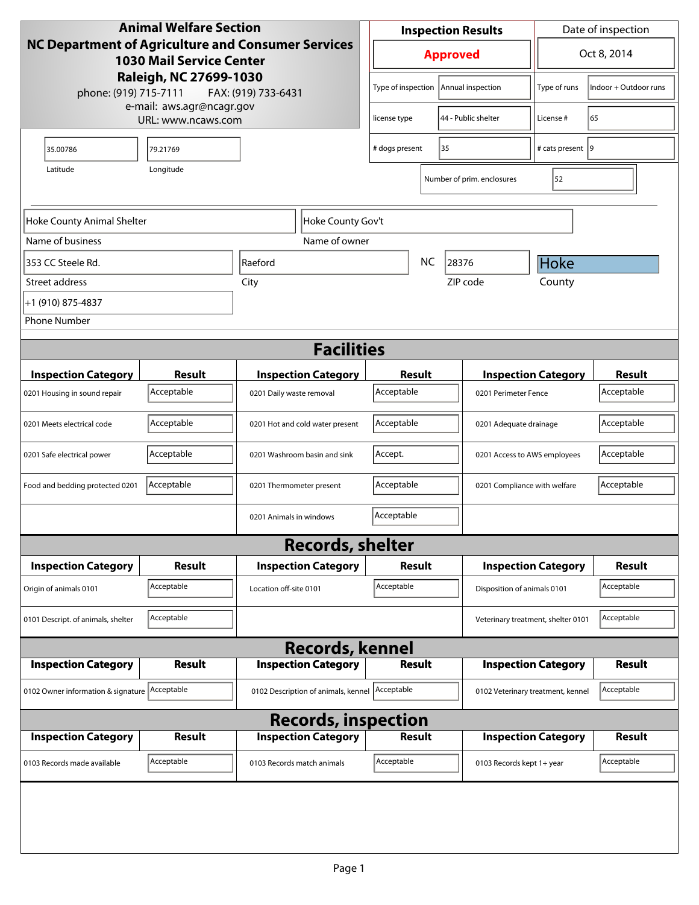| <b>Animal Welfare Section</b>                                                                       |                    |                                                        |                                | Date of inspection<br><b>Inspection Results</b> |                   |                                                  |                                   |               |
|-----------------------------------------------------------------------------------------------------|--------------------|--------------------------------------------------------|--------------------------------|-------------------------------------------------|-------------------|--------------------------------------------------|-----------------------------------|---------------|
| <b>NC Department of Agriculture and Consumer Services</b><br><b>1030 Mail Service Center</b>        |                    |                                                        | Oct 8, 2014<br><b>Approved</b> |                                                 |                   |                                                  |                                   |               |
| Raleigh, NC 27699-1030<br>phone: (919) 715-7111<br>FAX: (919) 733-6431<br>e-mail: aws.agr@ncagr.gov |                    |                                                        | Type of inspection             |                                                 | Annual inspection | Type of runs                                     | Indoor + Outdoor runs             |               |
|                                                                                                     | URL: www.ncaws.com |                                                        |                                | license type                                    |                   | 44 - Public shelter                              | License #                         | 65            |
| 35.00786                                                                                            | 79.21769           |                                                        |                                | # dogs present                                  |                   | 35                                               | # cats present 9                  |               |
| Longitude<br>Latitude                                                                               |                    |                                                        |                                |                                                 |                   | Number of prim. enclosures                       | 52                                |               |
| Hoke County Animal Shelter                                                                          |                    |                                                        | Hoke County Gov't              |                                                 |                   |                                                  |                                   |               |
| Name of business                                                                                    |                    |                                                        | Name of owner                  |                                                 |                   |                                                  |                                   |               |
| 353 CC Steele Rd.                                                                                   |                    | Raeford                                                |                                | <b>NC</b><br>28376                              |                   | <b>Hoke</b>                                      |                                   |               |
| Street address                                                                                      |                    | City                                                   |                                |                                                 |                   | ZIP code                                         | County                            |               |
| +1 (910) 875-4837                                                                                   |                    |                                                        |                                |                                                 |                   |                                                  |                                   |               |
| <b>Phone Number</b>                                                                                 |                    |                                                        |                                |                                                 |                   |                                                  |                                   |               |
|                                                                                                     |                    |                                                        | <b>Facilities</b>              |                                                 |                   |                                                  |                                   |               |
| <b>Inspection Category</b>                                                                          | <b>Result</b>      |                                                        |                                |                                                 | <b>Result</b>     |                                                  | <b>Inspection Category</b>        | <b>Result</b> |
| 0201 Housing in sound repair                                                                        | Acceptable         | <b>Inspection Category</b><br>0201 Daily waste removal |                                | Acceptable                                      |                   | 0201 Perimeter Fence                             |                                   | Acceptable    |
| 0201 Meets electrical code                                                                          | Acceptable         | 0201 Hot and cold water present                        |                                | Acceptable                                      |                   | 0201 Adequate drainage                           |                                   | Acceptable    |
| 0201 Safe electrical power                                                                          | Acceptable         | 0201 Washroom basin and sink                           |                                | Accept.                                         |                   | 0201 Access to AWS employees                     |                                   | Acceptable    |
| Food and bedding protected 0201                                                                     | Acceptable         | 0201 Thermometer present                               |                                | Acceptable                                      |                   | 0201 Compliance with welfare                     |                                   | Acceptable    |
|                                                                                                     |                    | 0201 Animals in windows                                |                                | Acceptable                                      |                   |                                                  |                                   |               |
|                                                                                                     |                    |                                                        | <b>Records, shelter</b>        |                                                 |                   |                                                  |                                   |               |
| <b>Inspection Category</b>                                                                          | Result             | <b>Inspection Category</b>                             |                                | Result                                          |                   |                                                  | <b>Inspection Category</b>        |               |
| Origin of animals 0101                                                                              | Acceptable         | Location off-site 0101                                 |                                | Acceptable                                      |                   |                                                  | Disposition of animals 0101       |               |
| 0101 Descript. of animals, shelter                                                                  | Acceptable         |                                                        |                                |                                                 |                   | Acceptable<br>Veterinary treatment, shelter 0101 |                                   |               |
|                                                                                                     |                    |                                                        | <b>Records, kennel</b>         |                                                 |                   |                                                  |                                   |               |
| <b>Inspection Category</b>                                                                          | <b>Result</b>      | <b>Inspection Category</b>                             |                                | <b>Result</b>                                   |                   |                                                  | <b>Inspection Category</b>        | <b>Result</b> |
| 0102 Owner information & signature Acceptable                                                       |                    | 0102 Description of animals, kennel Acceptable         |                                |                                                 |                   |                                                  | 0102 Veterinary treatment, kennel | Acceptable    |
| <b>Records, inspection</b>                                                                          |                    |                                                        |                                |                                                 |                   |                                                  |                                   |               |
| <b>Inspection Category</b>                                                                          | <b>Result</b>      | <b>Inspection Category</b>                             |                                |                                                 | <b>Result</b>     |                                                  | <b>Inspection Category</b>        | <b>Result</b> |
| 0103 Records made available                                                                         | Acceptable         | 0103 Records match animals                             |                                | Acceptable                                      |                   | 0103 Records kept 1+ year                        |                                   | Acceptable    |
|                                                                                                     |                    |                                                        |                                |                                                 |                   |                                                  |                                   |               |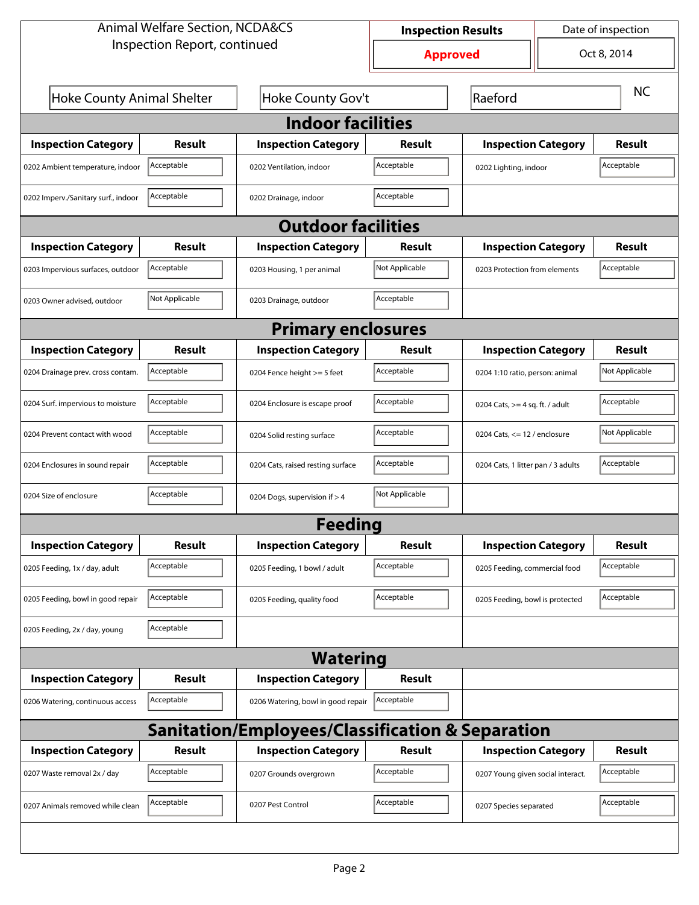| <b>Animal Welfare Section, NCDA&amp;CS</b>       |                           |                                    |                | Date of inspection<br><b>Inspection Results</b> |  |                |  |  |  |
|--------------------------------------------------|---------------------------|------------------------------------|----------------|-------------------------------------------------|--|----------------|--|--|--|
| Inspection Report, continued                     |                           | <b>Approved</b>                    | Oct 8, 2014    |                                                 |  |                |  |  |  |
| Hoke County Animal Shelter                       |                           | Hoke County Gov't                  | Raeford        |                                                 |  | <b>NC</b>      |  |  |  |
| <b>Indoor facilities</b>                         |                           |                                    |                |                                                 |  |                |  |  |  |
| <b>Inspection Category</b>                       | Result                    | <b>Inspection Category</b>         | Result         | <b>Inspection Category</b>                      |  | <b>Result</b>  |  |  |  |
| 0202 Ambient temperature, indoor                 | Acceptable                | 0202 Ventilation, indoor           | Acceptable     | 0202 Lighting, indoor                           |  | Acceptable     |  |  |  |
| 0202 Imperv./Sanitary surf., indoor              | Acceptable                | 0202 Drainage, indoor              | Acceptable     |                                                 |  |                |  |  |  |
|                                                  | <b>Outdoor facilities</b> |                                    |                |                                                 |  |                |  |  |  |
| <b>Inspection Category</b>                       | Result                    | <b>Inspection Category</b>         | Result         | <b>Inspection Category</b>                      |  | Result         |  |  |  |
| 0203 Impervious surfaces, outdoor                | Acceptable                | 0203 Housing, 1 per animal         | Not Applicable | 0203 Protection from elements                   |  | Acceptable     |  |  |  |
| 0203 Owner advised, outdoor                      | Not Applicable            | 0203 Drainage, outdoor             | Acceptable     |                                                 |  |                |  |  |  |
|                                                  |                           | <b>Primary enclosures</b>          |                |                                                 |  |                |  |  |  |
| <b>Inspection Category</b>                       | Result                    | <b>Inspection Category</b>         | Result         | <b>Inspection Category</b>                      |  | Result         |  |  |  |
| 0204 Drainage prev. cross contam.                | Acceptable                | 0204 Fence height >= 5 feet        | Acceptable     | 0204 1:10 ratio, person: animal                 |  | Not Applicable |  |  |  |
| 0204 Surf. impervious to moisture                | Acceptable                | 0204 Enclosure is escape proof     | Acceptable     | 0204 Cats, $>=$ 4 sq. ft. / adult               |  | Acceptable     |  |  |  |
| 0204 Prevent contact with wood                   | Acceptable                | 0204 Solid resting surface         | Acceptable     | 0204 Cats, $\le$ 12 / enclosure                 |  | Not Applicable |  |  |  |
| 0204 Enclosures in sound repair                  | Acceptable                | 0204 Cats, raised resting surface  | Acceptable     | 0204 Cats, 1 litter pan / 3 adults              |  | Acceptable     |  |  |  |
| 0204 Size of enclosure                           | Acceptable                | 0204 Dogs, supervision if > 4      | Not Applicable |                                                 |  |                |  |  |  |
|                                                  |                           | Feedina                            |                |                                                 |  |                |  |  |  |
| <b>Inspection Category</b>                       | <b>Result</b>             | <b>Inspection Category</b>         | <b>Result</b>  | <b>Inspection Category</b>                      |  | <b>Result</b>  |  |  |  |
| 0205 Feeding, 1x / day, adult                    | Acceptable                | 0205 Feeding, 1 bowl / adult       | Acceptable     | 0205 Feeding, commercial food                   |  | Acceptable     |  |  |  |
| 0205 Feeding, bowl in good repair                | Acceptable                | 0205 Feeding, quality food         | Acceptable     | 0205 Feeding, bowl is protected                 |  | Acceptable     |  |  |  |
| 0205 Feeding, 2x / day, young                    | Acceptable                |                                    |                |                                                 |  |                |  |  |  |
|                                                  | <b>Watering</b>           |                                    |                |                                                 |  |                |  |  |  |
| <b>Inspection Category</b>                       | <b>Result</b>             | <b>Inspection Category</b>         | <b>Result</b>  |                                                 |  |                |  |  |  |
| 0206 Watering, continuous access                 | Acceptable                | 0206 Watering, bowl in good repair | Acceptable     |                                                 |  |                |  |  |  |
| Sanitation/Employees/Classification & Separation |                           |                                    |                |                                                 |  |                |  |  |  |
| <b>Inspection Category</b>                       | <b>Result</b>             | <b>Inspection Category</b>         | <b>Result</b>  | <b>Inspection Category</b>                      |  | <b>Result</b>  |  |  |  |
| 0207 Waste removal 2x / day                      | Acceptable                | 0207 Grounds overgrown             | Acceptable     | 0207 Young given social interact.               |  | Acceptable     |  |  |  |
| 0207 Animals removed while clean                 | Acceptable                | 0207 Pest Control                  | Acceptable     | 0207 Species separated                          |  | Acceptable     |  |  |  |
|                                                  |                           |                                    |                |                                                 |  |                |  |  |  |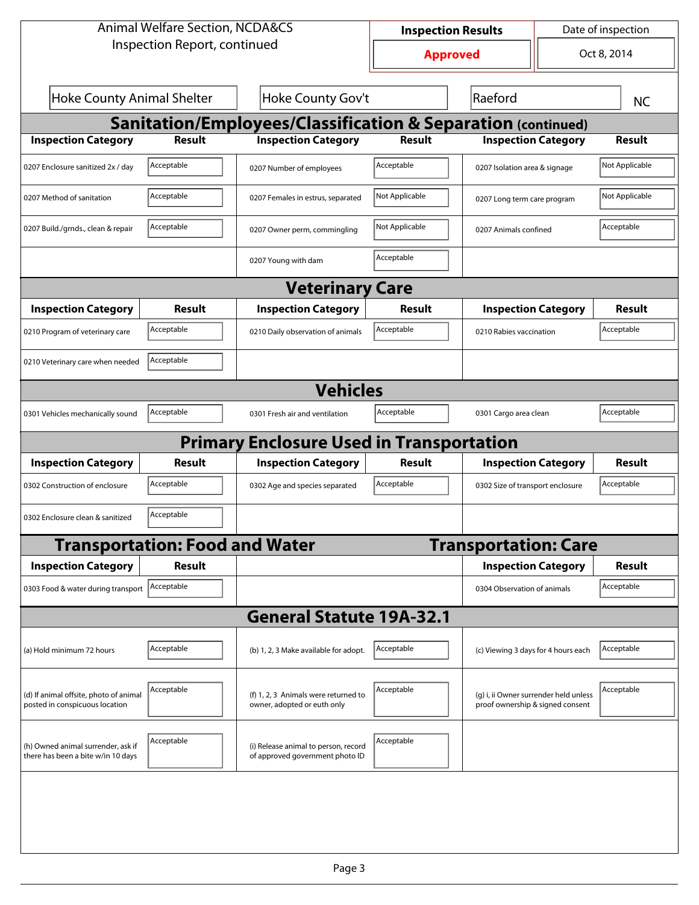| <b>Animal Welfare Section, NCDA&amp;CS</b>                               |                                       |                                                                         |                | Date of inspection<br><b>Inspection Results</b>                           |  |                |  |  |  |
|--------------------------------------------------------------------------|---------------------------------------|-------------------------------------------------------------------------|----------------|---------------------------------------------------------------------------|--|----------------|--|--|--|
| Inspection Report, continued                                             |                                       | <b>Approved</b>                                                         | Oct 8, 2014    |                                                                           |  |                |  |  |  |
| <b>Hoke County Animal Shelter</b><br>Hoke County Gov't                   |                                       |                                                                         |                | Raeford                                                                   |  | <b>NC</b>      |  |  |  |
| <b>Sanitation/Employees/Classification &amp; Separation (continued)</b>  |                                       |                                                                         |                |                                                                           |  |                |  |  |  |
| <b>Inspection Category</b>                                               | <b>Result</b>                         | <b>Inspection Category</b>                                              | <b>Result</b>  | <b>Inspection Category</b>                                                |  | Result         |  |  |  |
| 0207 Enclosure sanitized 2x / day                                        | Acceptable                            | 0207 Number of employees                                                | Acceptable     | 0207 Isolation area & signage                                             |  | Not Applicable |  |  |  |
| 0207 Method of sanitation                                                | Acceptable                            | 0207 Females in estrus, separated                                       | Not Applicable | 0207 Long term care program                                               |  | Not Applicable |  |  |  |
| 0207 Build./grnds., clean & repair                                       | Acceptable                            | 0207 Owner perm, commingling                                            | Not Applicable | 0207 Animals confined                                                     |  | Acceptable     |  |  |  |
|                                                                          |                                       | 0207 Young with dam                                                     | Acceptable     |                                                                           |  |                |  |  |  |
|                                                                          | <b>Veterinary Care</b>                |                                                                         |                |                                                                           |  |                |  |  |  |
| <b>Inspection Category</b>                                               | Result                                | <b>Inspection Category</b>                                              | Result         | <b>Inspection Category</b>                                                |  | Result         |  |  |  |
| 0210 Program of veterinary care                                          | Acceptable                            | 0210 Daily observation of animals                                       | Acceptable     | 0210 Rabies vaccination                                                   |  | Acceptable     |  |  |  |
| 0210 Veterinary care when needed                                         | Acceptable                            |                                                                         |                |                                                                           |  |                |  |  |  |
|                                                                          |                                       | <b>Vehicles</b>                                                         |                |                                                                           |  |                |  |  |  |
| 0301 Vehicles mechanically sound                                         | Acceptable                            | 0301 Fresh air and ventilation                                          | Acceptable     | 0301 Cargo area clean                                                     |  | Acceptable     |  |  |  |
|                                                                          |                                       | <b>Primary Enclosure Used in Transportation</b>                         |                |                                                                           |  |                |  |  |  |
| <b>Inspection Category</b>                                               | Result                                | <b>Inspection Category</b>                                              | <b>Result</b>  | <b>Inspection Category</b>                                                |  | Result         |  |  |  |
| 0302 Construction of enclosure                                           | Acceptable                            | 0302 Age and species separated                                          | Acceptable     | 0302 Size of transport enclosure                                          |  | Acceptable     |  |  |  |
| 0302 Enclosure clean & sanitized                                         | Acceptable                            |                                                                         |                |                                                                           |  |                |  |  |  |
|                                                                          | <b>Transportation: Food and Water</b> |                                                                         |                | <b>Transportation: Care</b>                                               |  |                |  |  |  |
| <b>Inspection Category</b>                                               | <b>Result</b>                         |                                                                         |                | <b>Inspection Category</b>                                                |  | <b>Result</b>  |  |  |  |
| 0303 Food & water during transport   Acceptable                          |                                       |                                                                         |                | 0304 Observation of animals                                               |  | Acceptable     |  |  |  |
|                                                                          |                                       | <b>General Statute 19A-32.1</b>                                         |                |                                                                           |  |                |  |  |  |
| (a) Hold minimum 72 hours                                                | Acceptable                            | (b) 1, 2, 3 Make available for adopt.                                   | Acceptable     | (c) Viewing 3 days for 4 hours each                                       |  | Acceptable     |  |  |  |
| (d) If animal offsite, photo of animal<br>posted in conspicuous location | Acceptable                            | (f) 1, 2, 3 Animals were returned to<br>owner, adopted or euth only     | Acceptable     | (g) i, ii Owner surrender held unless<br>proof ownership & signed consent |  | Acceptable     |  |  |  |
| (h) Owned animal surrender, ask if<br>there has been a bite w/in 10 days | Acceptable                            | (i) Release animal to person, record<br>of approved government photo ID | Acceptable     |                                                                           |  |                |  |  |  |
|                                                                          |                                       |                                                                         |                |                                                                           |  |                |  |  |  |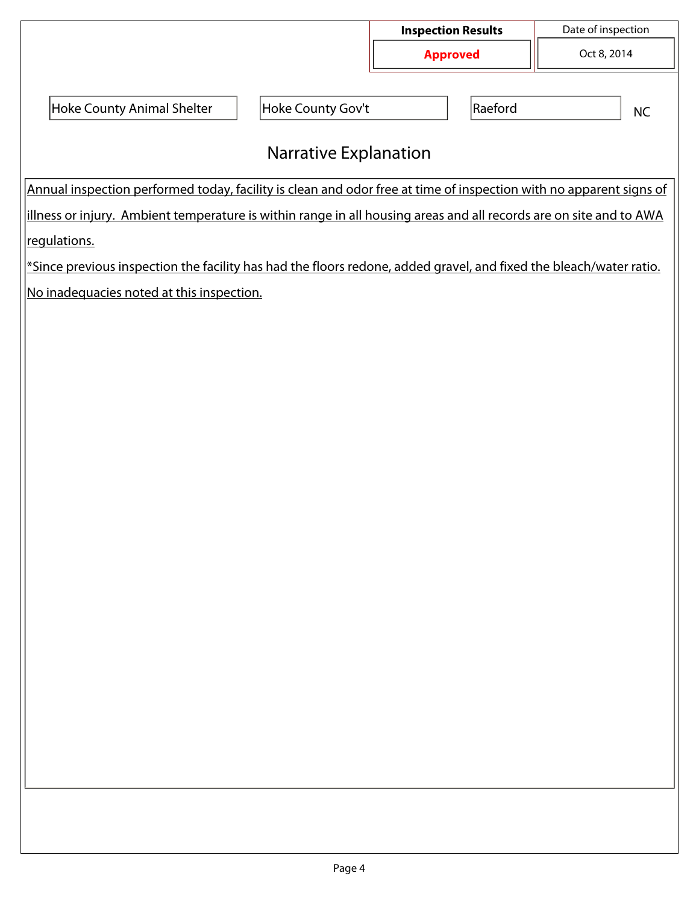|                                                                                                                    |                              | <b>Inspection Results</b> |         | Date of inspection |           |  |  |
|--------------------------------------------------------------------------------------------------------------------|------------------------------|---------------------------|---------|--------------------|-----------|--|--|
|                                                                                                                    |                              | <b>Approved</b>           |         | Oct 8, 2014        |           |  |  |
|                                                                                                                    |                              |                           |         |                    |           |  |  |
| Hoke County Animal Shelter                                                                                         | Hoke County Gov't            |                           | Raeford |                    | <b>NC</b> |  |  |
|                                                                                                                    |                              |                           |         |                    |           |  |  |
|                                                                                                                    | <b>Narrative Explanation</b> |                           |         |                    |           |  |  |
| Annual inspection performed today, facility is clean and odor free at time of inspection with no apparent signs of |                              |                           |         |                    |           |  |  |
| illness or injury. Ambient temperature is within range in all housing areas and all records are on site and to AWA |                              |                           |         |                    |           |  |  |
| regulations.                                                                                                       |                              |                           |         |                    |           |  |  |
| *Since previous inspection the facility has had the floors redone, added gravel, and fixed the bleach/water ratio. |                              |                           |         |                    |           |  |  |
| No inadequacies noted at this inspection.                                                                          |                              |                           |         |                    |           |  |  |
|                                                                                                                    |                              |                           |         |                    |           |  |  |
|                                                                                                                    |                              |                           |         |                    |           |  |  |
|                                                                                                                    |                              |                           |         |                    |           |  |  |
|                                                                                                                    |                              |                           |         |                    |           |  |  |
|                                                                                                                    |                              |                           |         |                    |           |  |  |
|                                                                                                                    |                              |                           |         |                    |           |  |  |
|                                                                                                                    |                              |                           |         |                    |           |  |  |
|                                                                                                                    |                              |                           |         |                    |           |  |  |
|                                                                                                                    |                              |                           |         |                    |           |  |  |
|                                                                                                                    |                              |                           |         |                    |           |  |  |
|                                                                                                                    |                              |                           |         |                    |           |  |  |
|                                                                                                                    |                              |                           |         |                    |           |  |  |
|                                                                                                                    |                              |                           |         |                    |           |  |  |
|                                                                                                                    |                              |                           |         |                    |           |  |  |
|                                                                                                                    |                              |                           |         |                    |           |  |  |
|                                                                                                                    |                              |                           |         |                    |           |  |  |
|                                                                                                                    |                              |                           |         |                    |           |  |  |
|                                                                                                                    |                              |                           |         |                    |           |  |  |
|                                                                                                                    |                              |                           |         |                    |           |  |  |
|                                                                                                                    |                              |                           |         |                    |           |  |  |
|                                                                                                                    |                              |                           |         |                    |           |  |  |